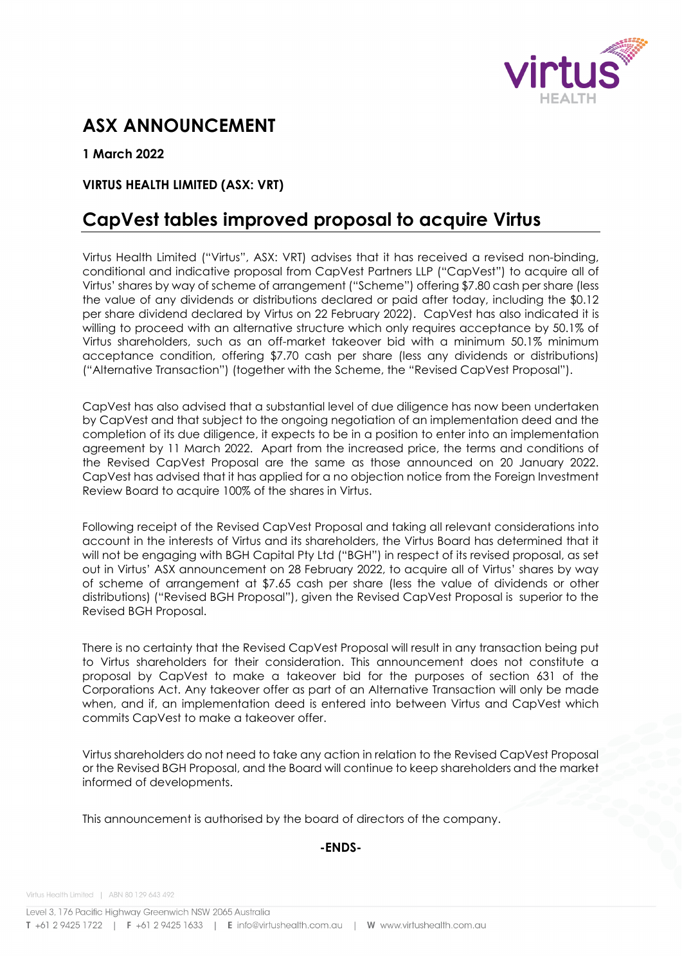

# **ASX ANNOUNCEMENT**

**1 March 2022**

## **VIRTUS HEALTH LIMITED (ASX: VRT)**

# **CapVest tables improved proposal to acquire Virtus**

Virtus Health Limited ("Virtus", ASX: VRT) advises that it has received a revised non-binding, conditional and indicative proposal from CapVest Partners LLP ("CapVest") to acquire all of Virtus' shares by way of scheme of arrangement ("Scheme") offering \$7.80 cash per share (less the value of any dividends or distributions declared or paid after today, including the \$0.12 per share dividend declared by Virtus on 22 February 2022). CapVest has also indicated it is willing to proceed with an alternative structure which only requires acceptance by 50.1% of Virtus shareholders, such as an off-market takeover bid with a minimum 50.1% minimum acceptance condition, offering \$7.70 cash per share (less any dividends or distributions) ("Alternative Transaction") (together with the Scheme, the "Revised CapVest Proposal").

CapVest has also advised that a substantial level of due diligence has now been undertaken by CapVest and that subject to the ongoing negotiation of an implementation deed and the completion of its due diligence, it expects to be in a position to enter into an implementation agreement by 11 March 2022. Apart from the increased price, the terms and conditions of the Revised CapVest Proposal are the same as those announced on 20 January 2022. CapVest has advised that it has applied for a no objection notice from the Foreign Investment Review Board to acquire 100% of the shares in Virtus.

Following receipt of the Revised CapVest Proposal and taking all relevant considerations into account in the interests of Virtus and its shareholders, the Virtus Board has determined that it will not be engaging with BGH Capital Pty Ltd ("BGH") in respect of its revised proposal, as set out in Virtus' ASX announcement on 28 February 2022, to acquire all of Virtus' shares by way of scheme of arrangement at \$7.65 cash per share (less the value of dividends or other distributions) ("Revised BGH Proposal"), given the Revised CapVest Proposal is superior to the Revised BGH Proposal.

There is no certainty that the Revised CapVest Proposal will result in any transaction being put to Virtus shareholders for their consideration. This announcement does not constitute a proposal by CapVest to make a takeover bid for the purposes of section 631 of the Corporations Act. Any takeover offer as part of an Alternative Transaction will only be made when, and if, an implementation deed is entered into between Virtus and CapVest which commits CapVest to make a takeover offer.

Virtus shareholders do not need to take any action in relation to the Revised CapVest Proposal or the Revised BGH Proposal, and the Board will continue to keep shareholders and the market informed of developments.

This announcement is authorised by the board of directors of the company.

### **-ENDS-**

Virtus Health Limited | ABN 80 129 643 492